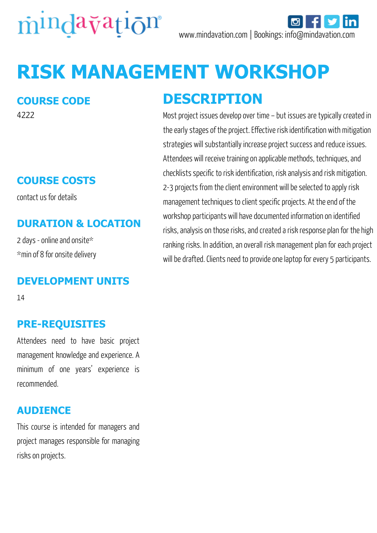

# **RISK MANAGEMENT WORKSHOP**

#### **COURSE CODE**

4222

#### **COURSE COSTS**

contact us for details

#### **DURATION & LOCATION**

2 days - online and onsite\* \*min of 8 for onsite delivery

#### **DEVELOPMENT UNITS**

14

#### **PRE-REQUISITES**

Attendees need to have basic project management knowledge and experience. A minimum of one years' experience is recommended.

#### **AUDIENCE**

This course is intended for managers and project manages responsible for managing risks on projects.

### **DESCRIPTION**

Most project issues develop over time – but issues are typically created in the early stages of the project. Effective risk identification with mitigation strategies will substantially increase project success and reduce issues. Attendees will receive training on applicable methods, techniques, and checklists specific to risk identification, risk analysis and risk mitigation. 2-3 projects from the client environment will be selected to apply risk management techniques to client specific projects. At the end of the workshop participants will have documented information on identified risks, analysis on those risks, and created a risk response plan for the high ranking risks. In addition, an overall risk management plan for each project will be drafted. Clients need to provide one laptop for every 5 participants.